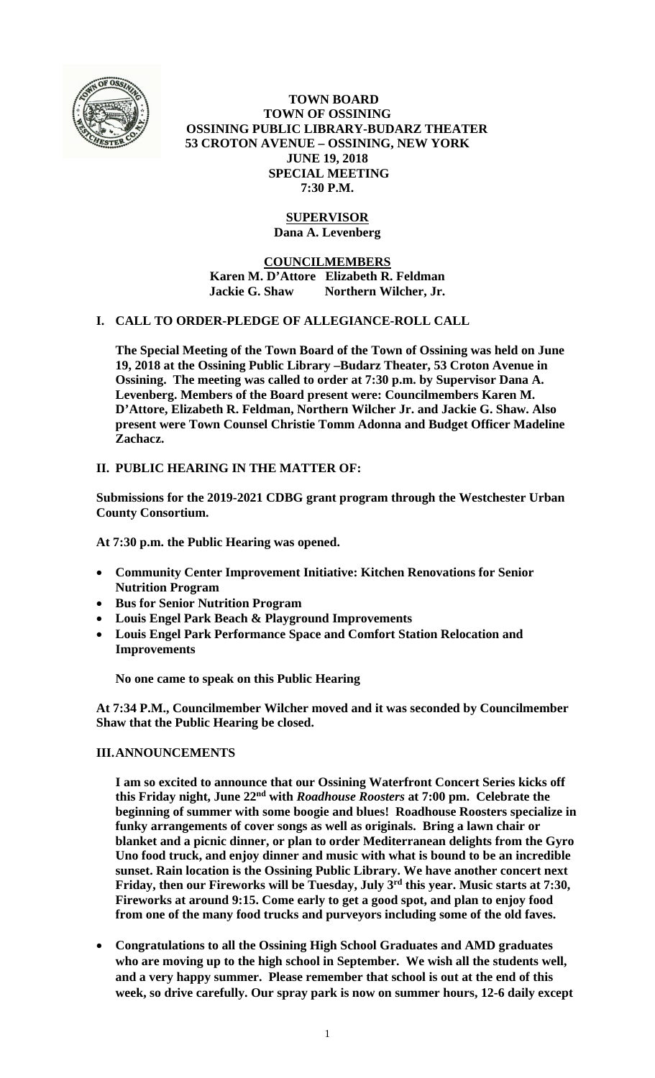

 **TOWN BOARD TOWN OF OSSINING OSSINING PUBLIC LIBRARY-BUDARZ THEATER 53 CROTON AVENUE – OSSINING, NEW YORK JUNE 19, 2018 SPECIAL MEETING 7:30 P.M.** 

## **SUPERVISOR Dana A. Levenberg**

**COUNCILMEMBERS Karen M. D'Attore Elizabeth R. Feldman**  Jackie G. Shaw Northern Wilcher, Jr.

# **I. CALL TO ORDER-PLEDGE OF ALLEGIANCE-ROLL CALL**

**The Special Meeting of the Town Board of the Town of Ossining was held on June 19, 2018 at the Ossining Public Library –Budarz Theater, 53 Croton Avenue in Ossining. The meeting was called to order at 7:30 p.m. by Supervisor Dana A. Levenberg. Members of the Board present were: Councilmembers Karen M. D'Attore, Elizabeth R. Feldman, Northern Wilcher Jr. and Jackie G. Shaw. Also present were Town Counsel Christie Tomm Adonna and Budget Officer Madeline Zachacz.** 

# **II. PUBLIC HEARING IN THE MATTER OF:**

**Submissions for the 2019-2021 CDBG grant program through the Westchester Urban County Consortium.** 

**At 7:30 p.m. the Public Hearing was opened.** 

- **Community Center Improvement Initiative: Kitchen Renovations for Senior Nutrition Program**
- **Bus for Senior Nutrition Program**
- **Louis Engel Park Beach & Playground Improvements**
- **Louis Engel Park Performance Space and Comfort Station Relocation and Improvements**

**No one came to speak on this Public Hearing** 

**At 7:34 P.M., Councilmember Wilcher moved and it was seconded by Councilmember Shaw that the Public Hearing be closed.** 

### **III.ANNOUNCEMENTS**

**I am so excited to announce that our Ossining Waterfront Concert Series kicks off this Friday night, June 22nd with** *Roadhouse Roosters* **at 7:00 pm. Celebrate the beginning of summer with some boogie and blues! Roadhouse Roosters specialize in funky arrangements of cover songs as well as originals. Bring a lawn chair or blanket and a picnic dinner, or plan to order Mediterranean delights from the Gyro Uno food truck, and enjoy dinner and music with what is bound to be an incredible sunset. Rain location is the Ossining Public Library. We have another concert next Friday, then our Fireworks will be Tuesday, July 3rd this year. Music starts at 7:30, Fireworks at around 9:15. Come early to get a good spot, and plan to enjoy food from one of the many food trucks and purveyors including some of the old faves.** 

 **Congratulations to all the Ossining High School Graduates and AMD graduates who are moving up to the high school in September. We wish all the students well, and a very happy summer. Please remember that school is out at the end of this week, so drive carefully. Our spray park is now on summer hours, 12-6 daily except**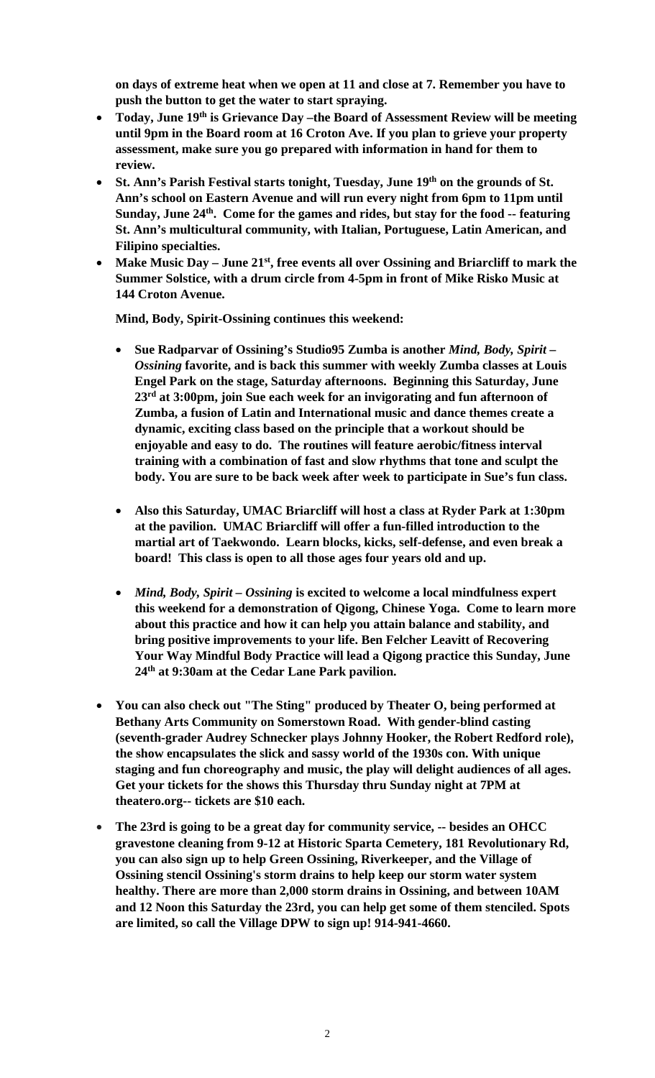**on days of extreme heat when we open at 11 and close at 7. Remember you have to push the button to get the water to start spraying.** 

- **Today, June 19th is Grievance Day –the Board of Assessment Review will be meeting until 9pm in the Board room at 16 Croton Ave. If you plan to grieve your property assessment, make sure you go prepared with information in hand for them to review.**
- St. Ann's Parish Festival starts tonight, Tuesday, June 19<sup>th</sup> on the grounds of St. **Ann's school on Eastern Avenue and will run every night from 6pm to 11pm until**  Sunday, June 24<sup>th</sup>. Come for the games and rides, but stay for the food -- featuring **St. Ann's multicultural community, with Italian, Portuguese, Latin American, and Filipino specialties.**
- **Make Music Day June 21st, free events all over Ossining and Briarcliff to mark the Summer Solstice, with a drum circle from 4-5pm in front of Mike Risko Music at 144 Croton Avenue.**

**Mind, Body, Spirit-Ossining continues this weekend:** 

- **Sue Radparvar of Ossining's Studio95 Zumba is another** *Mind, Body, Spirit Ossining* **favorite, and is back this summer with weekly Zumba classes at Louis Engel Park on the stage, Saturday afternoons. Beginning this Saturday, June 23rd at 3:00pm, join Sue each week for an invigorating and fun afternoon of Zumba, a fusion of Latin and International music and dance themes create a dynamic, exciting class based on the principle that a workout should be enjoyable and easy to do. The routines will feature aerobic/fitness interval training with a combination of fast and slow rhythms that tone and sculpt the body. You are sure to be back week after week to participate in Sue's fun class.**
- **Also this Saturday, UMAC Briarcliff will host a class at Ryder Park at 1:30pm at the pavilion. UMAC Briarcliff will offer a fun-filled introduction to the martial art of Taekwondo. Learn blocks, kicks, self-defense, and even break a board! This class is open to all those ages four years old and up.**
- *Mind, Body, Spirit Ossining* **is excited to welcome a local mindfulness expert this weekend for a demonstration of Qigong, Chinese Yoga. Come to learn more about this practice and how it can help you attain balance and stability, and bring positive improvements to your life. Ben Felcher Leavitt of Recovering Your Way Mindful Body Practice will lead a Qigong practice this Sunday, June 24th at 9:30am at the Cedar Lane Park pavilion.**
- **You can also check out "The Sting" produced by Theater O, being performed at Bethany Arts Community on Somerstown Road. With gender-blind casting (seventh-grader Audrey Schnecker plays Johnny Hooker, the Robert Redford role), the show encapsulates the slick and sassy world of the 1930s con. With unique staging and fun choreography and music, the play will delight audiences of all ages. Get your tickets for the shows this Thursday thru Sunday night at 7PM at theatero.org-- tickets are \$10 each.**
- **The 23rd is going to be a great day for community service, -- besides an OHCC gravestone cleaning from 9-12 at Historic Sparta Cemetery, 181 Revolutionary Rd, you can also sign up to help Green Ossining, Riverkeeper, and the Village of Ossining stencil Ossining's storm drains to help keep our storm water system healthy. There are more than 2,000 storm drains in Ossining, and between 10AM and 12 Noon this Saturday the 23rd, you can help get some of them stenciled. Spots are limited, so call the Village DPW to sign up! 914-941-4660.**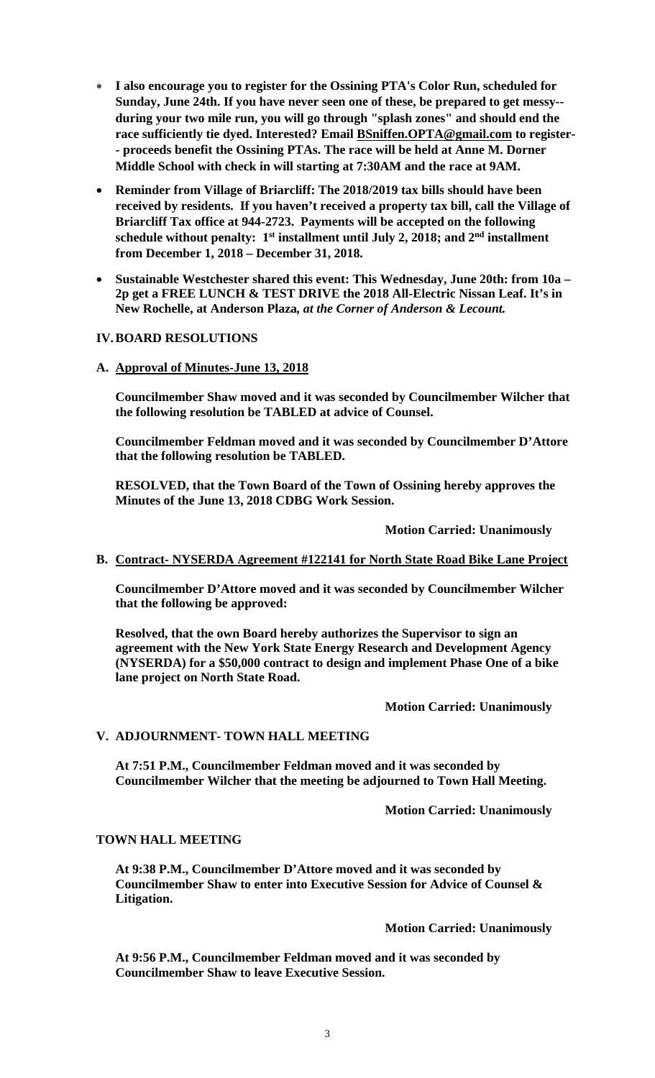- **I also encourage you to register for the Ossining PTA's Color Run, scheduled for Sunday, June 24th. If you have never seen one of these, be prepared to get messy- during your two mile run, you will go through "splash zones" and should end the race sufficiently tie dyed. Interested? Email BSniffen.OPTA@gmail.com to register- - proceeds benefit the Ossining PTAs. The race will be held at Anne M. Dorner Middle School with check in will starting at 7:30AM and the race at 9AM.**
- **Reminder from Village of Briarcliff: The 2018/2019 tax bills should have been received by residents. If you haven't received a property tax bill, call the Village of Briarcliff Tax office at 944-2723. Payments will be accepted on the following schedule without penalty: 1st installment until July 2, 2018; and 2nd installment from December 1, 2018 – December 31, 2018.**
- **Sustainable Westchester shared this event: This Wednesday, June 20th: from 10a – 2p get a FREE LUNCH & TEST DRIVE the 2018 All-Electric Nissan Leaf. It's in New Rochelle, at Anderson Plaza***, at the Corner of Anderson & Lecount.*

### **IV.BOARD RESOLUTIONS**

**A. Approval of Minutes-June 13, 2018** 

**Councilmember Shaw moved and it was seconded by Councilmember Wilcher that the following resolution be TABLED at advice of Counsel.** 

**Councilmember Feldman moved and it was seconded by Councilmember D'Attore that the following resolution be TABLED.** 

**RESOLVED, that the Town Board of the Town of Ossining hereby approves the Minutes of the June 13, 2018 CDBG Work Session.** 

 **Motion Carried: Unanimously** 

#### **B. Contract- NYSERDA Agreement #122141 for North State Road Bike Lane Project**

**Councilmember D'Attore moved and it was seconded by Councilmember Wilcher that the following be approved:** 

**Resolved, that the own Board hereby authorizes the Supervisor to sign an agreement with the New York State Energy Research and Development Agency (NYSERDA) for a \$50,000 contract to design and implement Phase One of a bike lane project on North State Road.** 

 **Motion Carried: Unanimously** 

### **V. ADJOURNMENT- TOWN HALL MEETING**

**At 7:51 P.M., Councilmember Feldman moved and it was seconded by Councilmember Wilcher that the meeting be adjourned to Town Hall Meeting.** 

**Motion Carried: Unanimously** 

#### **TOWN HALL MEETING**

**At 9:38 P.M., Councilmember D'Attore moved and it was seconded by Councilmember Shaw to enter into Executive Session for Advice of Counsel & Litigation.** 

 **Motion Carried: Unanimously** 

**At 9:56 P.M., Councilmember Feldman moved and it was seconded by Councilmember Shaw to leave Executive Session.**